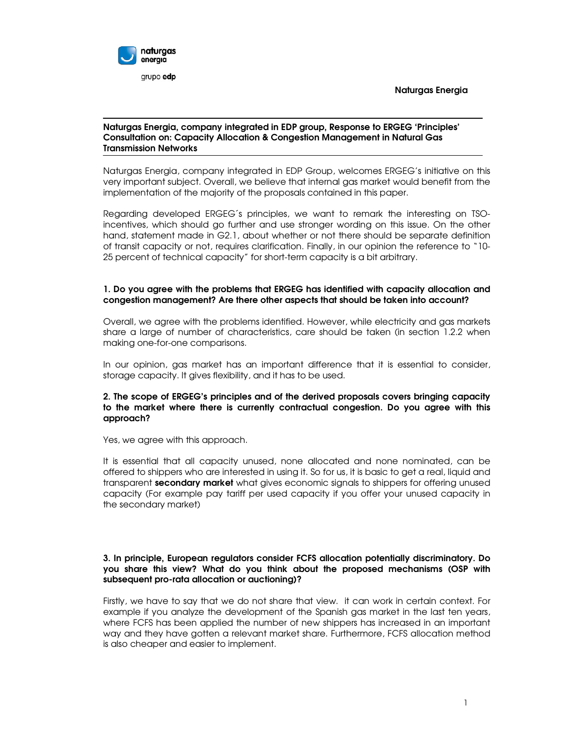

#### Naturgas Energia, company integrated in EDP group, Response to ERGEG 'Principles' Consultation on: Capacity Allocation & Congestion Management in Natural Gas Transmission Networks

Naturgas Energia, company integrated in EDP Group, welcomes ERGEG's initiative on this very important subject. Overall, we believe that internal gas market would benefit from the implementation of the majority of the proposals contained in this paper.

Regarding developed ERGEG´s principles, we want to remark the interesting on TSOincentives, which should go further and use stronger wording on this issue. On the other hand, statement made in G2.1, about whether or not there should be separate definition of transit capacity or not, requires clarification. Finally, in our opinion the reference to "10- 25 percent of technical capacity" for short-term capacity is a bit arbitrary.

## 1. Do you agree with the problems that ERGEG has identified with capacity allocation and congestion management? Are there other aspects that should be taken into account?

Overall, we agree with the problems identified. However, while electricity and gas markets share a large of number of characteristics, care should be taken (in section 1.2.2 when making one-for-one comparisons.

In our opinion, gas market has an important difference that it is essential to consider, storage capacity. It gives flexibility, and it has to be used.

## 2. The scope of ERGEG's principles and of the derived proposals covers bringing capacity to the market where there is currently contractual congestion. Do you agree with this approach?

Yes, we agree with this approach.

It is essential that all capacity unused, none allocated and none nominated, can be offered to shippers who are interested in using it. So for us, it is basic to get a real, liquid and transparent secondary market what gives economic signals to shippers for offering unused capacity (For example pay tariff per used capacity if you offer your unused capacity in the secondary market)

## 3. In principle, European regulators consider FCFS allocation potentially discriminatory. Do you share this view? What do you think about the proposed mechanisms (OSP with subsequent pro-rata allocation or auctioning)?

Firstly, we have to say that we do not share that view. it can work in certain context. For example if you analyze the development of the Spanish gas market in the last ten years, where FCFS has been applied the number of new shippers has increased in an important way and they have gotten a relevant market share. Furthermore, FCFS allocation method is also cheaper and easier to implement.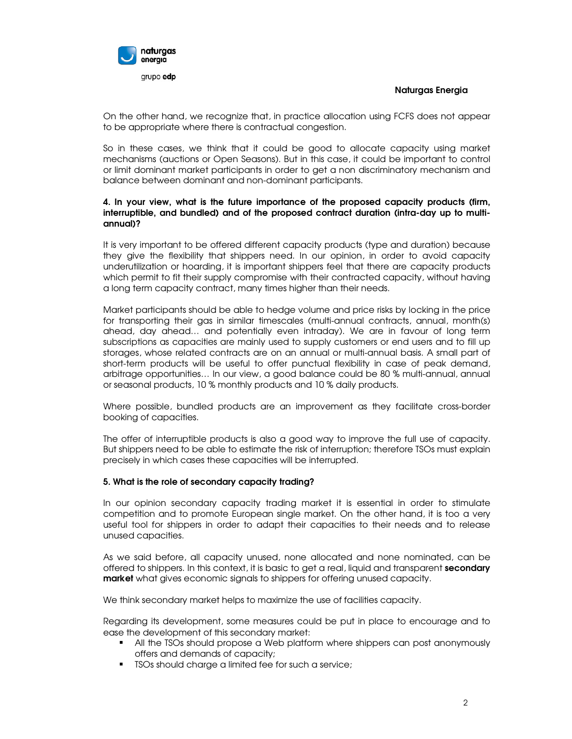

On the other hand, we recognize that, in practice allocation using FCFS does not appear to be appropriate where there is contractual congestion.

So in these cases, we think that it could be good to allocate capacity using market mechanisms (auctions or Open Seasons). But in this case, it could be important to control or limit dominant market participants in order to get a non discriminatory mechanism and balance between dominant and non-dominant participants.

# 4. In your view, what is the future importance of the proposed capacity products (firm, interruptible, and bundled) and of the proposed contract duration (intra-day up to multiannual)?

It is very important to be offered different capacity products (type and duration) because they give the flexibility that shippers need. In our opinion, in order to avoid capacity underutilization or hoarding, it is important shippers feel that there are capacity products which permit to fit their supply compromise with their contracted capacity, without having a long term capacity contract, many times higher than their needs.

Market participants should be able to hedge volume and price risks by locking in the price for transporting their gas in similar timescales (multi-annual contracts, annual, month(s) ahead, day ahead… and potentially even intraday). We are in favour of long term subscriptions as capacities are mainly used to supply customers or end users and to fill up storages, whose related contracts are on an annual or multi-annual basis. A small part of short-term products will be useful to offer punctual flexibility in case of peak demand, arbitrage opportunities… In our view, a good balance could be 80 % multi-annual, annual or seasonal products, 10 % monthly products and 10 % daily products.

Where possible, bundled products are an improvement as they facilitate cross-border booking of capacities.

The offer of interruptible products is also a good way to improve the full use of capacity. But shippers need to be able to estimate the risk of interruption; therefore TSOs must explain precisely in which cases these capacities will be interrupted.

## 5. What is the role of secondary capacity trading?

In our opinion secondary capacity trading market it is essential in order to stimulate competition and to promote European single market. On the other hand, it is too a very useful tool for shippers in order to adapt their capacities to their needs and to release unused capacities.

As we said before, all capacity unused, none allocated and none nominated, can be offered to shippers. In this context, it is basic to get a real, liquid and transparent secondary market what gives economic signals to shippers for offering unused capacity.

We think secondary market helps to maximize the use of facilities capacity.

Regarding its development, some measures could be put in place to encourage and to ease the development of this secondary market:

- All the TSOs should propose a Web platform where shippers can post anonymously offers and demands of capacity;
- **TSOs should charge a limited fee for such a service;**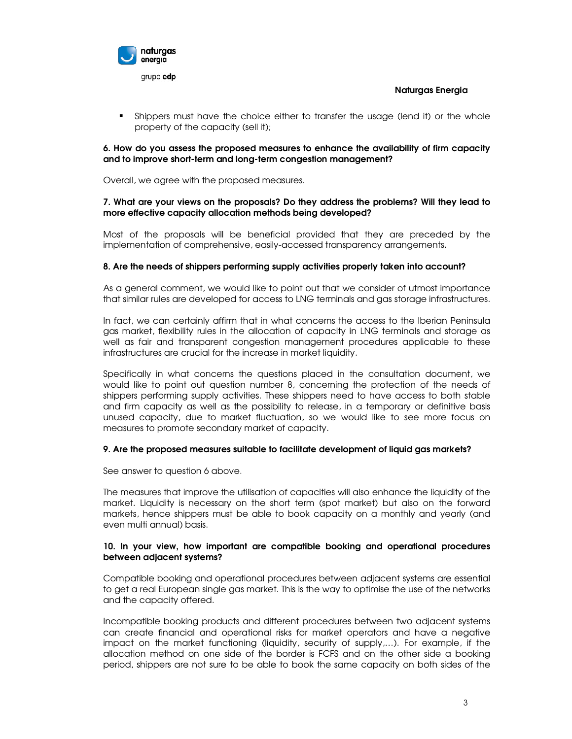

 Shippers must have the choice either to transfer the usage (lend it) or the whole property of the capacity (sell it);

## 6. How do you assess the proposed measures to enhance the availability of firm capacity and to improve short-term and long-term congestion management?

Overall, we agree with the proposed measures.

## 7. What are your views on the proposals? Do they address the problems? Will they lead to more effective capacity allocation methods being developed?

Most of the proposals will be beneficial provided that they are preceded by the implementation of comprehensive, easily-accessed transparency arrangements.

## 8. Are the needs of shippers performing supply activities properly taken into account?

As a general comment, we would like to point out that we consider of utmost importance that similar rules are developed for access to LNG terminals and gas storage infrastructures.

In fact, we can certainly affirm that in what concerns the access to the Iberian Peninsula gas market, flexibility rules in the allocation of capacity in LNG terminals and storage as well as fair and transparent congestion management procedures applicable to these infrastructures are crucial for the increase in market liquidity.

Specifically in what concerns the questions placed in the consultation document, we would like to point out question number 8, concerning the protection of the needs of shippers performing supply activities. These shippers need to have access to both stable and firm capacity as well as the possibility to release, in a temporary or definitive basis unused capacity, due to market fluctuation, so we would like to see more focus on measures to promote secondary market of capacity.

## 9. Are the proposed measures suitable to facilitate development of liquid gas markets?

See answer to question 6 above.

The measures that improve the utilisation of capacities will also enhance the liquidity of the market. Liquidity is necessary on the short term (spot market) but also on the forward markets, hence shippers must be able to book capacity on a monthly and yearly (and even multi annual) basis.

#### 10. In your view, how important are compatible booking and operational procedures between adjacent systems?

Compatible booking and operational procedures between adjacent systems are essential to get a real European single gas market. This is the way to optimise the use of the networks and the capacity offered.

Incompatible booking products and different procedures between two adjacent systems can create financial and operational risks for market operators and have a negative impact on the market functioning (liquidity, security of supply,…). For example, if the allocation method on one side of the border is FCFS and on the other side a booking period, shippers are not sure to be able to book the same capacity on both sides of the